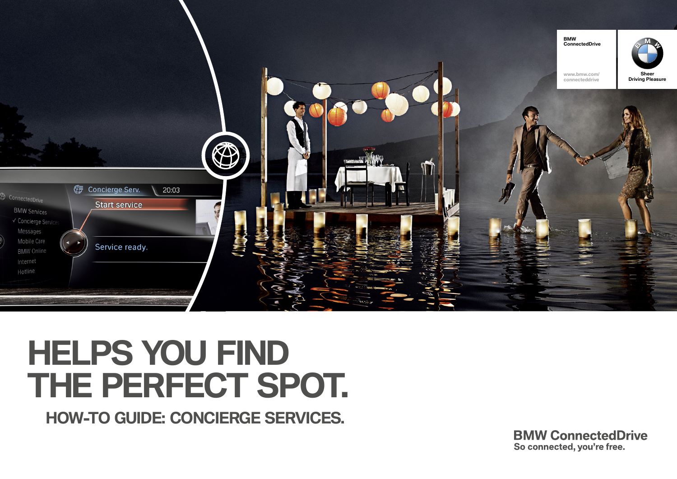

# **HELPS YOU FIND THE PERFECT SPOT.**

**HOW-TO GUIDE: CONCIERGE SERVICES.**

**BMW ConnectedDrive** So connected, you're free.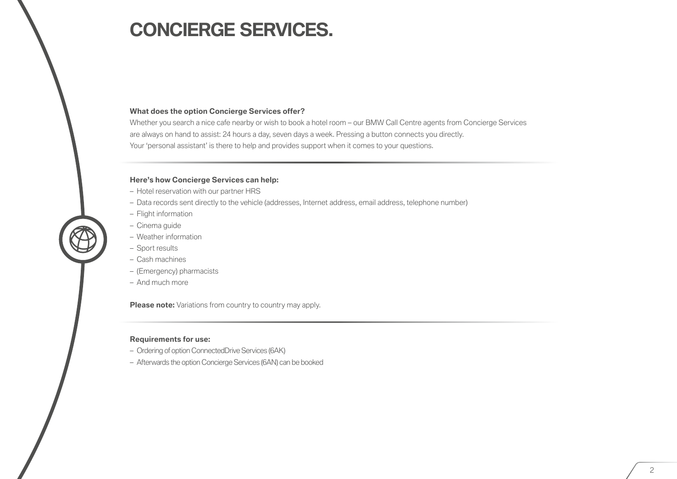### **CONCIERGE SERVICES.**

### **What does the option Concierge Services offer?**

Whether you search a nice cafe nearby or wish to book a hotel room – our BMW Call Centre agents from Concierge Services are always on hand to assist: 24 hours a day, seven days a week. Pressing a button connects you directly. Your 'personal assistant' is there to help and provides support when it comes to your questions.

#### **Here's how Concierge Services can help:**

- Hotel reservation with our partner HRS
- Data records sent directly to the vehicle (addresses, Internet address, email address, telephone number)
- Flight information
- Cinema guide
- Weather information
- Sport results
- Cash machines
- (Emergency) pharmacists
- And much more

**Please note:** Variations from country to country may apply.

#### **Requirements for use:**

- Ordering of option ConnectedDrive Services (6AK)
- Afterwards the option Concierge Services (6AN) can be booked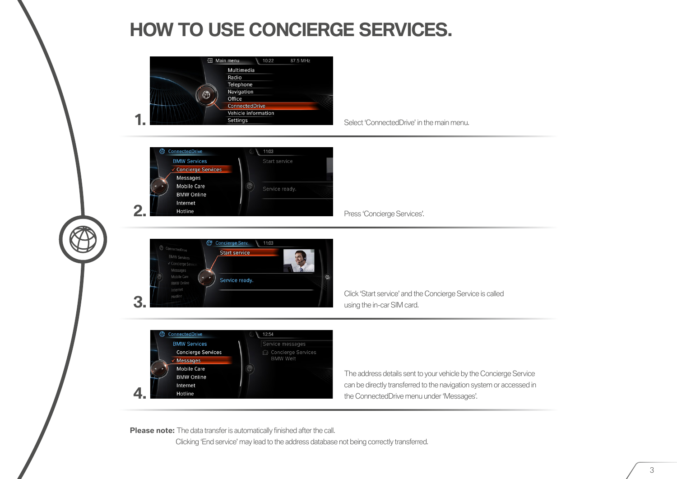## **HOW TO USE CONCIERGE SERVICES.**



**Please note:** The data transfer is automatically finished after the call.

Clicking 'End service' may lead to the address database not being correctly transferred.